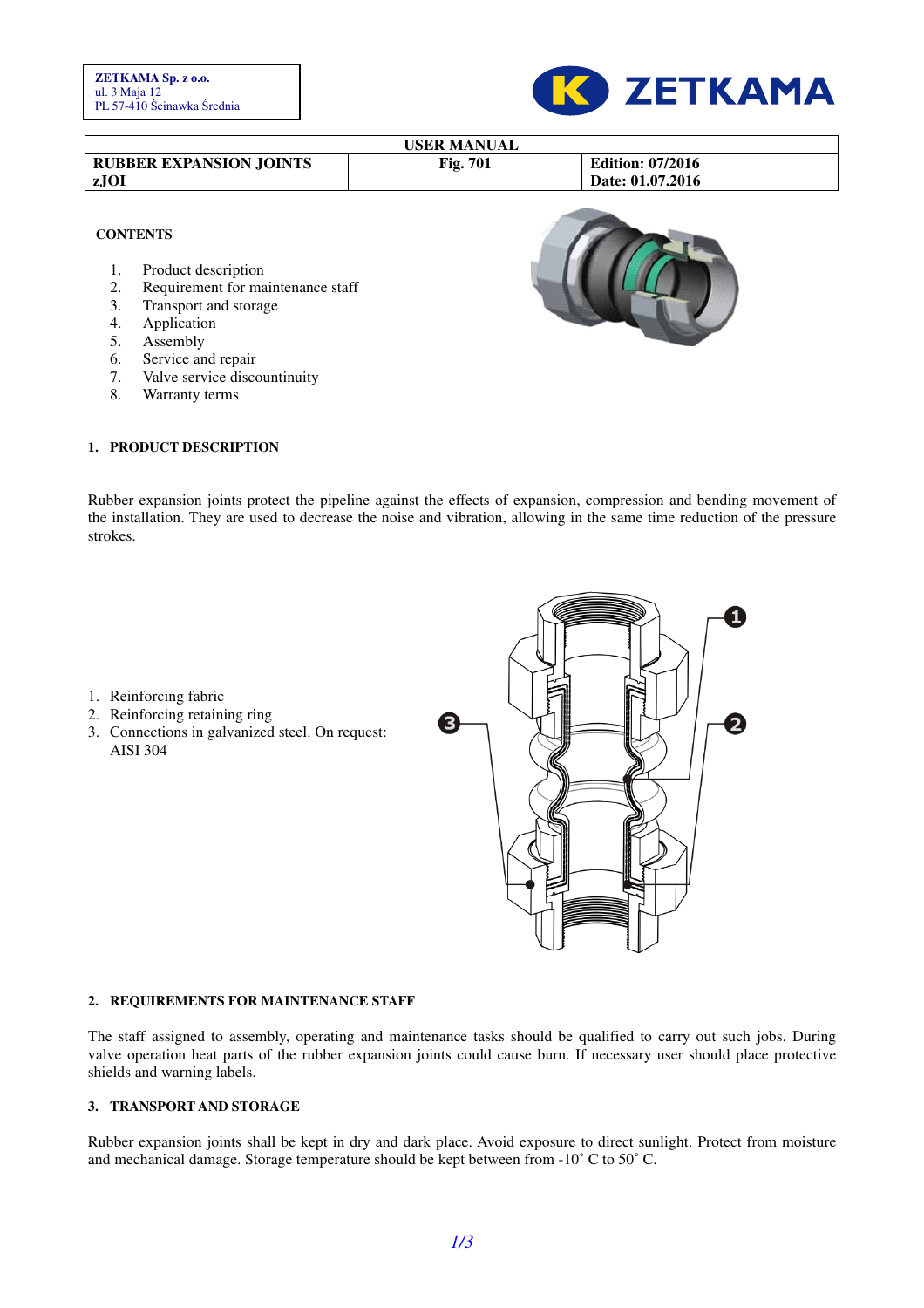

| <b>Edition: 07/2016</b><br><b>RUBBER EXPANSION JOINTS</b><br>Fig. 701<br>Date: 01.07.2016<br>zJOI<br><b>CONTENTS</b><br>Product description |
|---------------------------------------------------------------------------------------------------------------------------------------------|
|                                                                                                                                             |
|                                                                                                                                             |
| Requirement for maintenance staff<br>2.<br>Transport and storage<br>3.<br>Application<br>4.                                                 |
| 5.<br>Assembly                                                                                                                              |
| Service and repair<br>6.                                                                                                                    |
| Valve service discountinuity<br>7.                                                                                                          |
| 8.<br>Warranty terms                                                                                                                        |

#### **1. PRODUCT DESCRIPTION**

Rubber expansion joints protect the pipeline against the effects of expansion, compression and bending movement of the installation. They are used to decrease the noise and vibration, allowing in the same time reduction of the pressure strokes.

- 1. Reinforcing fabric
- 2. Reinforcing retaining ring
- 3. Connections in galvanized steel. On request: AISI 304



#### **2. REQUIREMENTS FOR MAINTENANCE STAFF**

The staff assigned to assembly, operating and maintenance tasks should be qualified to carry out such jobs. During valve operation heat parts of the rubber expansion joints could cause burn. If necessary user should place protective shields and warning labels.

#### **3. TRANSPORT AND STORAGE**

Rubber expansion joints shall be kept in dry and dark place. Avoid exposure to direct sunlight. Protect from moisture and mechanical damage. Storage temperature should be kept between from -10˚ C to 50˚ C.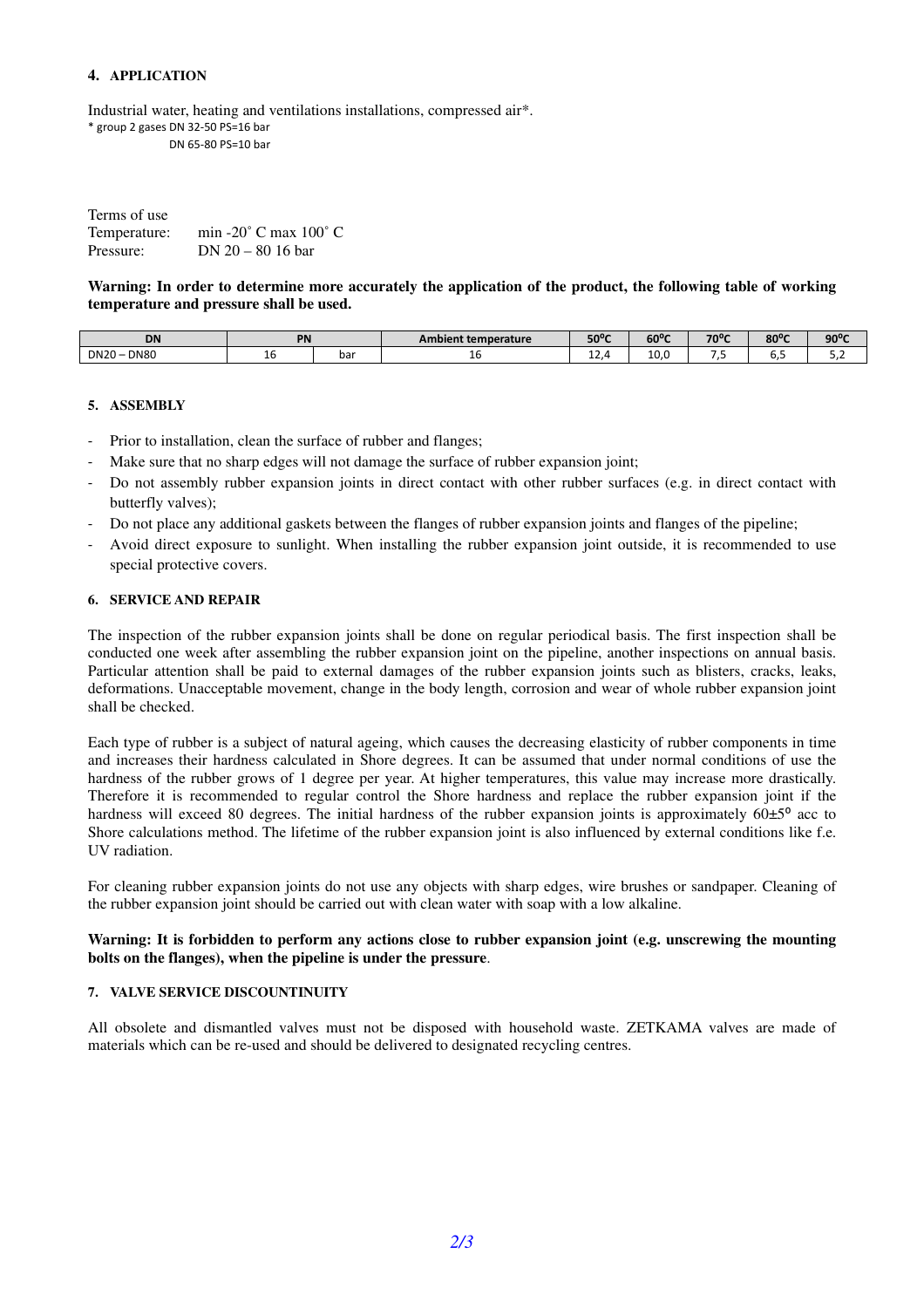# **4. APPLICATION**

Industrial water, heating and ventilations installations, compressed air\*. \* group 2 gases DN 32-50 PS=16 bar DN 65-80 PS=10 bar

| Terms of use |                                           |
|--------------|-------------------------------------------|
| Temperature: | min -20 $^{\circ}$ C max 100 $^{\circ}$ C |
| Pressure:    | DN $20 - 80$ 16 bar                       |

**Warning: In order to determine more accurately the application of the product, the following table of working temperature and pressure shall be used.** 

| <b>DN</b>                  | PN |     | Ambient temperature | 50°C    | 60°C                             | $70^{\circ}$ C | $80^{\circ}$ C | anor<br>JU |
|----------------------------|----|-----|---------------------|---------|----------------------------------|----------------|----------------|------------|
| <b>DN80</b><br><b>DN20</b> | ᆚ  | bar | ⊥∪                  | <b></b> | $\overline{\phantom{0}}$<br>TO.O | $\cdot$ .      | ◡.             | ے . _      |

## **5. ASSEMBLY**

- Prior to installation, clean the surface of rubber and flanges;
- Make sure that no sharp edges will not damage the surface of rubber expansion joint;
- Do not assembly rubber expansion joints in direct contact with other rubber surfaces (e.g. in direct contact with butterfly valves);
- Do not place any additional gaskets between the flanges of rubber expansion joints and flanges of the pipeline;
- Avoid direct exposure to sunlight. When installing the rubber expansion joint outside, it is recommended to use special protective covers.

## **6. SERVICE AND REPAIR**

The inspection of the rubber expansion joints shall be done on regular periodical basis. The first inspection shall be conducted one week after assembling the rubber expansion joint on the pipeline, another inspections on annual basis. Particular attention shall be paid to external damages of the rubber expansion joints such as blisters, cracks, leaks, deformations. Unacceptable movement, change in the body length, corrosion and wear of whole rubber expansion joint shall be checked.

Each type of rubber is a subject of natural ageing, which causes the decreasing elasticity of rubber components in time and increases their hardness calculated in Shore degrees. It can be assumed that under normal conditions of use the hardness of the rubber grows of 1 degree per year. At higher temperatures, this value may increase more drastically. Therefore it is recommended to regular control the Shore hardness and replace the rubber expansion joint if the hardness will exceed 80 degrees. The initial hardness of the rubber expansion joints is approximately  $60±5^{\circ}$  acc to Shore calculations method. The lifetime of the rubber expansion joint is also influenced by external conditions like f.e. UV radiation.

For cleaning rubber expansion joints do not use any objects with sharp edges, wire brushes or sandpaper. Cleaning of the rubber expansion joint should be carried out with clean water with soap with a low alkaline.

# **Warning: It is forbidden to perform any actions close to rubber expansion joint (e.g. unscrewing the mounting bolts on the flanges), when the pipeline is under the pressure**.

## **7. VALVE SERVICE DISCOUNTINUITY**

All obsolete and dismantled valves must not be disposed with household waste. ZETKAMA valves are made of materials which can be re-used and should be delivered to designated recycling centres.